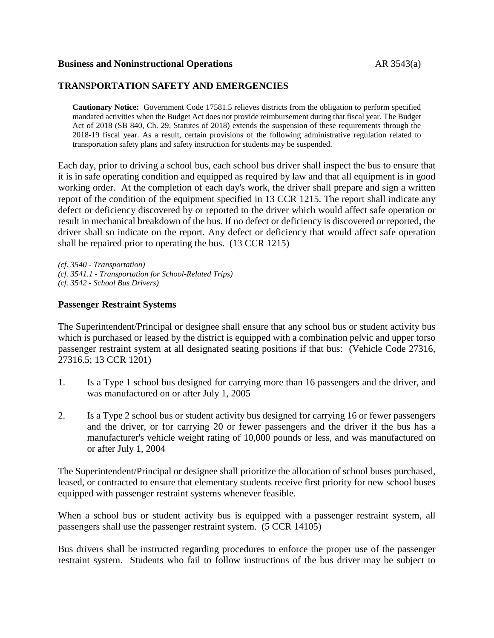### **Business and Noninstructional Operations** AR 3543(a)

## **TRANSPORTATION SAFETY AND EMERGENCIES**

**Cautionary Notice:** Government Code 17581.5 relieves districts from the obligation to perform specified mandated activities when the Budget Act does not provide reimbursement during that fiscal year. The Budget Act of 2018 (SB 840, Ch. 29, Statutes of 2018) extends the suspension of these requirements through the 2018-19 fiscal year. As a result, certain provisions of the following administrative regulation related to transportation safety plans and safety instruction for students may be suspended.

Each day, prior to driving a school bus, each school bus driver shall inspect the bus to ensure that it is in safe operating condition and equipped as required by law and that all equipment is in good working order. At the completion of each day's work, the driver shall prepare and sign a written report of the condition of the equipment specified in 13 CCR 1215. The report shall indicate any defect or deficiency discovered by or reported to the driver which would affect safe operation or result in mechanical breakdown of the bus. If no defect or deficiency is discovered or reported, the driver shall so indicate on the report. Any defect or deficiency that would affect safe operation shall be repaired prior to operating the bus. (13 CCR 1215)

*(cf. 3540 - Transportation) (cf. 3541.1 - Transportation for School-Related Trips) (cf. 3542 - School Bus Drivers)*

### **Passenger Restraint Systems**

The Superintendent/Principal or designee shall ensure that any school bus or student activity bus which is purchased or leased by the district is equipped with a combination pelvic and upper torso passenger restraint system at all designated seating positions if that bus: (Vehicle Code 27316, 27316.5; 13 CCR 1201)

- 1. Is a Type 1 school bus designed for carrying more than 16 passengers and the driver, and was manufactured on or after July 1, 2005
- 2. Is a Type 2 school bus or student activity bus designed for carrying 16 or fewer passengers and the driver, or for carrying 20 or fewer passengers and the driver if the bus has a manufacturer's vehicle weight rating of 10,000 pounds or less, and was manufactured on or after July 1, 2004

The Superintendent/Principal or designee shall prioritize the allocation of school buses purchased, leased, or contracted to ensure that elementary students receive first priority for new school buses equipped with passenger restraint systems whenever feasible.

When a school bus or student activity bus is equipped with a passenger restraint system, all passengers shall use the passenger restraint system. (5 CCR 14105)

Bus drivers shall be instructed regarding procedures to enforce the proper use of the passenger restraint system. Students who fail to follow instructions of the bus driver may be subject to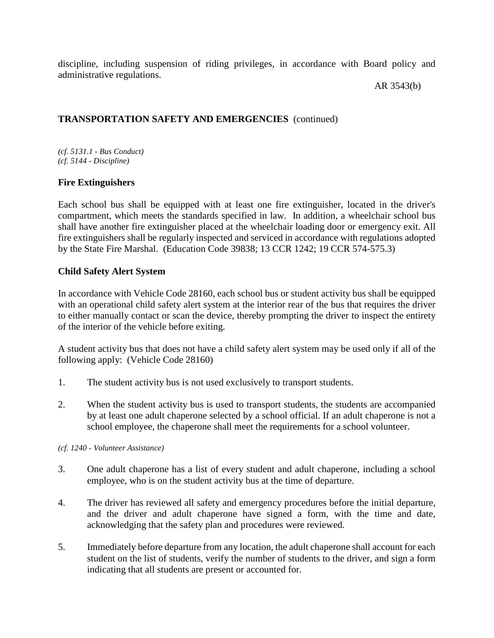discipline, including suspension of riding privileges, in accordance with Board policy and administrative regulations.

AR 3543(b)

## **TRANSPORTATION SAFETY AND EMERGENCIES** (continued)

*(cf. 5131.1 - Bus Conduct) (cf. 5144 - Discipline)*

## **Fire Extinguishers**

Each school bus shall be equipped with at least one fire extinguisher, located in the driver's compartment, which meets the standards specified in law. In addition, a wheelchair school bus shall have another fire extinguisher placed at the wheelchair loading door or emergency exit. All fire extinguishers shall be regularly inspected and serviced in accordance with regulations adopted by the State Fire Marshal. (Education Code 39838; 13 CCR 1242; 19 CCR 574-575.3)

## **Child Safety Alert System**

In accordance with Vehicle Code 28160, each school bus or student activity bus shall be equipped with an operational child safety alert system at the interior rear of the bus that requires the driver to either manually contact or scan the device, thereby prompting the driver to inspect the entirety of the interior of the vehicle before exiting.

A student activity bus that does not have a child safety alert system may be used only if all of the following apply: (Vehicle Code 28160)

- 1. The student activity bus is not used exclusively to transport students.
- 2. When the student activity bus is used to transport students, the students are accompanied by at least one adult chaperone selected by a school official. If an adult chaperone is not a school employee, the chaperone shall meet the requirements for a school volunteer.

*(cf. 1240 - Volunteer Assistance)*

- 3. One adult chaperone has a list of every student and adult chaperone, including a school employee, who is on the student activity bus at the time of departure.
- 4. The driver has reviewed all safety and emergency procedures before the initial departure, and the driver and adult chaperone have signed a form, with the time and date, acknowledging that the safety plan and procedures were reviewed.
- 5. Immediately before departure from any location, the adult chaperone shall account for each student on the list of students, verify the number of students to the driver, and sign a form indicating that all students are present or accounted for.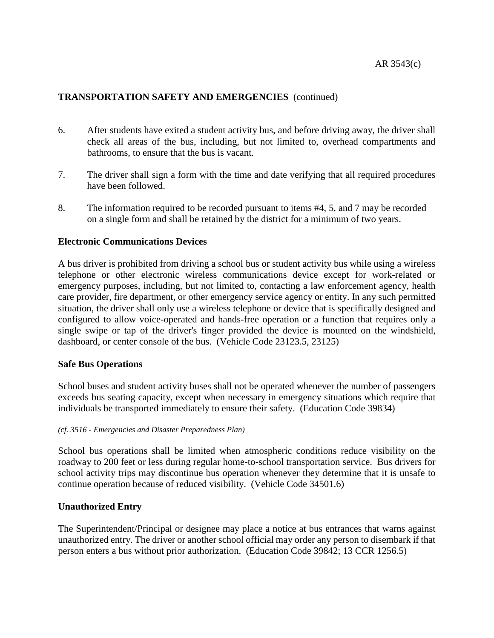- 6. After students have exited a student activity bus, and before driving away, the driver shall check all areas of the bus, including, but not limited to, overhead compartments and bathrooms, to ensure that the bus is vacant.
- 7. The driver shall sign a form with the time and date verifying that all required procedures have been followed.
- 8. The information required to be recorded pursuant to items #4, 5, and 7 may be recorded on a single form and shall be retained by the district for a minimum of two years.

### **Electronic Communications Devices**

A bus driver is prohibited from driving a school bus or student activity bus while using a wireless telephone or other electronic wireless communications device except for work-related or emergency purposes, including, but not limited to, contacting a law enforcement agency, health care provider, fire department, or other emergency service agency or entity. In any such permitted situation, the driver shall only use a wireless telephone or device that is specifically designed and configured to allow voice-operated and hands-free operation or a function that requires only a single swipe or tap of the driver's finger provided the device is mounted on the windshield, dashboard, or center console of the bus. (Vehicle Code 23123.5, 23125)

### **Safe Bus Operations**

School buses and student activity buses shall not be operated whenever the number of passengers exceeds bus seating capacity, except when necessary in emergency situations which require that individuals be transported immediately to ensure their safety. (Education Code 39834)

### *(cf. 3516 - Emergencies and Disaster Preparedness Plan)*

School bus operations shall be limited when atmospheric conditions reduce visibility on the roadway to 200 feet or less during regular home-to-school transportation service. Bus drivers for school activity trips may discontinue bus operation whenever they determine that it is unsafe to continue operation because of reduced visibility. (Vehicle Code 34501.6)

## **Unauthorized Entry**

The Superintendent/Principal or designee may place a notice at bus entrances that warns against unauthorized entry. The driver or another school official may order any person to disembark if that person enters a bus without prior authorization. (Education Code 39842; 13 CCR 1256.5)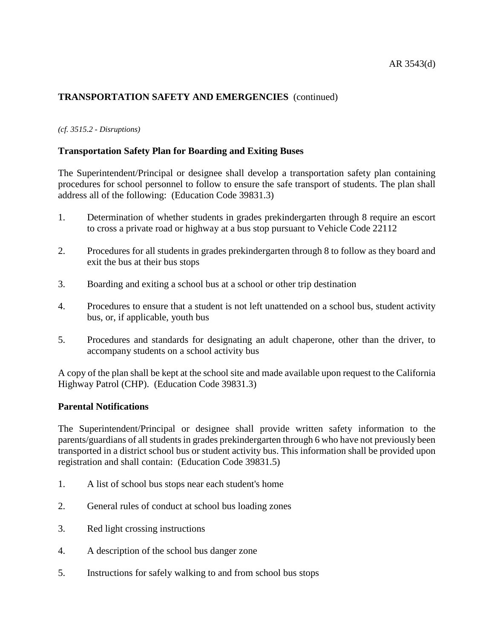### *(cf. 3515.2 - Disruptions)*

## **Transportation Safety Plan for Boarding and Exiting Buses**

The Superintendent/Principal or designee shall develop a transportation safety plan containing procedures for school personnel to follow to ensure the safe transport of students. The plan shall address all of the following: (Education Code 39831.3)

- 1. Determination of whether students in grades prekindergarten through 8 require an escort to cross a private road or highway at a bus stop pursuant to Vehicle Code 22112
- 2. Procedures for all students in grades prekindergarten through 8 to follow as they board and exit the bus at their bus stops
- 3. Boarding and exiting a school bus at a school or other trip destination
- 4. Procedures to ensure that a student is not left unattended on a school bus, student activity bus, or, if applicable, youth bus
- 5. Procedures and standards for designating an adult chaperone, other than the driver, to accompany students on a school activity bus

A copy of the plan shall be kept at the school site and made available upon request to the California Highway Patrol (CHP). (Education Code 39831.3)

## **Parental Notifications**

The Superintendent/Principal or designee shall provide written safety information to the parents/guardians of all students in grades prekindergarten through 6 who have not previously been transported in a district school bus or student activity bus. This information shall be provided upon registration and shall contain: (Education Code 39831.5)

- 1. A list of school bus stops near each student's home
- 2. General rules of conduct at school bus loading zones
- 3. Red light crossing instructions
- 4. A description of the school bus danger zone
- 5. Instructions for safely walking to and from school bus stops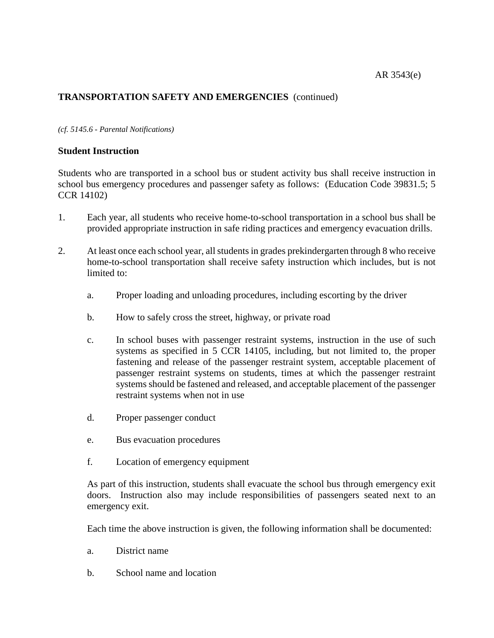### *(cf. 5145.6 - Parental Notifications)*

## **Student Instruction**

Students who are transported in a school bus or student activity bus shall receive instruction in school bus emergency procedures and passenger safety as follows: (Education Code 39831.5; 5 CCR 14102)

- 1. Each year, all students who receive home-to-school transportation in a school bus shall be provided appropriate instruction in safe riding practices and emergency evacuation drills.
- 2. At least once each school year, all students in grades prekindergarten through 8 who receive home-to-school transportation shall receive safety instruction which includes, but is not limited to:
	- a. Proper loading and unloading procedures, including escorting by the driver
	- b. How to safely cross the street, highway, or private road
	- c. In school buses with passenger restraint systems, instruction in the use of such systems as specified in 5 CCR 14105, including, but not limited to, the proper fastening and release of the passenger restraint system, acceptable placement of passenger restraint systems on students, times at which the passenger restraint systems should be fastened and released, and acceptable placement of the passenger restraint systems when not in use
	- d. Proper passenger conduct
	- e. Bus evacuation procedures
	- f. Location of emergency equipment

As part of this instruction, students shall evacuate the school bus through emergency exit doors. Instruction also may include responsibilities of passengers seated next to an emergency exit.

Each time the above instruction is given, the following information shall be documented:

- a. District name
- b. School name and location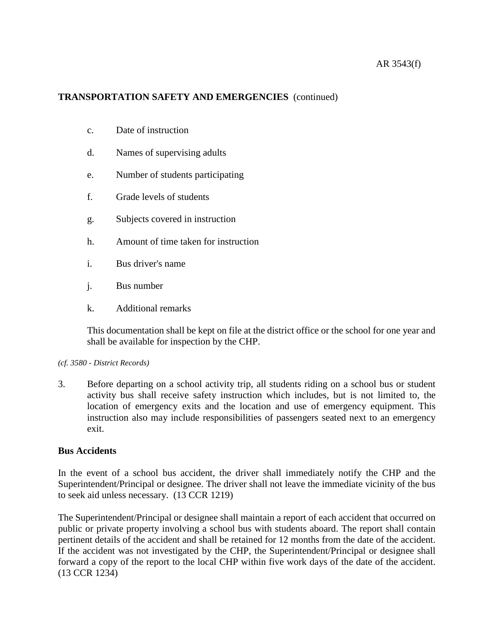- c. Date of instruction
- d. Names of supervising adults
- e. Number of students participating
- f. Grade levels of students
- g. Subjects covered in instruction
- h. Amount of time taken for instruction
- i. Bus driver's name
- j. Bus number
- k. Additional remarks

This documentation shall be kept on file at the district office or the school for one year and shall be available for inspection by the CHP.

### *(cf. 3580 - District Records)*

3. Before departing on a school activity trip, all students riding on a school bus or student activity bus shall receive safety instruction which includes, but is not limited to, the location of emergency exits and the location and use of emergency equipment. This instruction also may include responsibilities of passengers seated next to an emergency exit.

### **Bus Accidents**

In the event of a school bus accident, the driver shall immediately notify the CHP and the Superintendent/Principal or designee. The driver shall not leave the immediate vicinity of the bus to seek aid unless necessary. (13 CCR 1219)

The Superintendent/Principal or designee shall maintain a report of each accident that occurred on public or private property involving a school bus with students aboard. The report shall contain pertinent details of the accident and shall be retained for 12 months from the date of the accident. If the accident was not investigated by the CHP, the Superintendent/Principal or designee shall forward a copy of the report to the local CHP within five work days of the date of the accident. (13 CCR 1234)